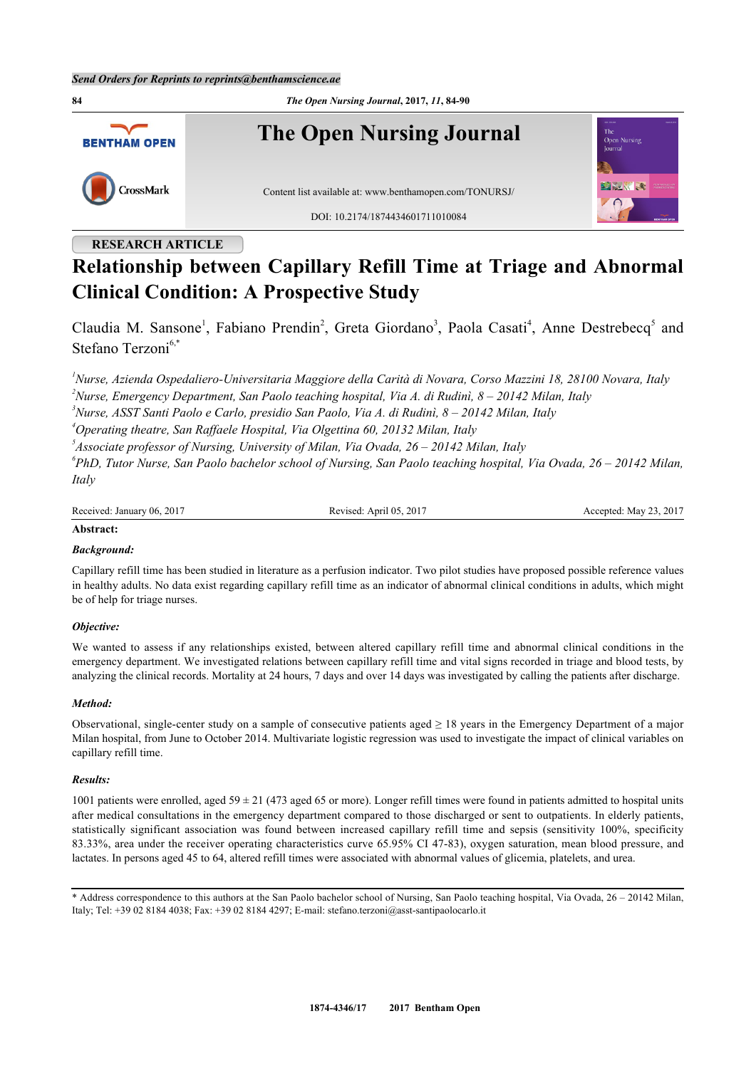

# **RESEARCH ARTICLE**

# **Relationship between Capillary Refill Time at Triage and Abnormal Clinical Condition: A Prospective Study**

Claudia M. Sansone<sup>[1](#page-0-0)</sup>, Fabiano Prendin<sup>[2](#page-0-1)</sup>, Greta Giordano<sup>[3](#page-0-2)</sup>, Paola Casati<sup>[4](#page-0-3)</sup>, Anne Destrebecq<sup>[5](#page-0-4)</sup> and Stefano Terzoni<sup>[6,](#page-0-5)[\\*](#page-0-6)</sup>

<span id="page-0-1"></span><span id="page-0-0"></span>*<sup>1</sup>Nurse, Azienda Ospedaliero-Universitaria Maggiore della Carità di Novara, Corso Mazzini 18, 28100 Novara, Italy <sup>2</sup>Nurse, Emergency Department, San Paolo teaching hospital, Via A. di Rudinì, 8 – 20142 Milan, Italy <sup>3</sup>Nurse, ASST Santi Paolo e Carlo, presidio San Paolo, Via A. di Rudinì, 8 – 20142 Milan, Italy*

<span id="page-0-3"></span><span id="page-0-2"></span>*<sup>4</sup>Operating theatre, San Raffaele Hospital, Via Olgettina 60, 20132 Milan, Italy*

<span id="page-0-4"></span>*5 Associate professor of Nursing, University of Milan, Via Ovada, 26 – 20142 Milan, Italy 6 PhD, Tutor Nurse, San Paolo bachelor school of Nursing, San Paolo teaching hospital, Via Ovada, 26 – 20142 Milan,*

<span id="page-0-5"></span>*Italy*

Revised: April 05, 2017 Accepted: May 23, 2017

# **Abstract:** *Background:*

Capillary refill time has been studied in literature as a perfusion indicator. Two pilot studies have proposed possible reference values in healthy adults. No data exist regarding capillary refill time as an indicator of abnormal clinical conditions in adults, which might be of help for triage nurses.

#### *Objective:*

We wanted to assess if any relationships existed, between altered capillary refill time and abnormal clinical conditions in the emergency department. We investigated relations between capillary refill time and vital signs recorded in triage and blood tests, by analyzing the clinical records. Mortality at 24 hours, 7 days and over 14 days was investigated by calling the patients after discharge.

#### *Method:*

Observational, single-center study on a sample of consecutive patients aged  $\geq 18$  years in the Emergency Department of a major Milan hospital, from June to October 2014. Multivariate logistic regression was used to investigate the impact of clinical variables on capillary refill time.

#### *Results:*

1001 patients were enrolled, aged  $59 \pm 21$  (473 aged 65 or more). Longer refill times were found in patients admitted to hospital units after medical consultations in the emergency department compared to those discharged or sent to outpatients. In elderly patients, statistically significant association was found between increased capillary refill time and sepsis (sensitivity 100%, specificity 83.33%, area under the receiver operating characteristics curve 65.95% CI 47-83), oxygen saturation, mean blood pressure, and lactates. In persons aged 45 to 64, altered refill times were associated with abnormal values of glicemia, platelets, and urea.

<span id="page-0-6"></span>\* Address correspondence to this authors at the San Paolo bachelor school of Nursing, San Paolo teaching hospital, Via Ovada, 26 – 20142 Milan, Italy; Tel: +39 02 8184 4038; Fax: +39 02 8184 4297; E-mail: [stefano.terzoni@asst-santipaolocarlo.it](mailto:stefano.terzoni@asst-santipaolocarlo.it)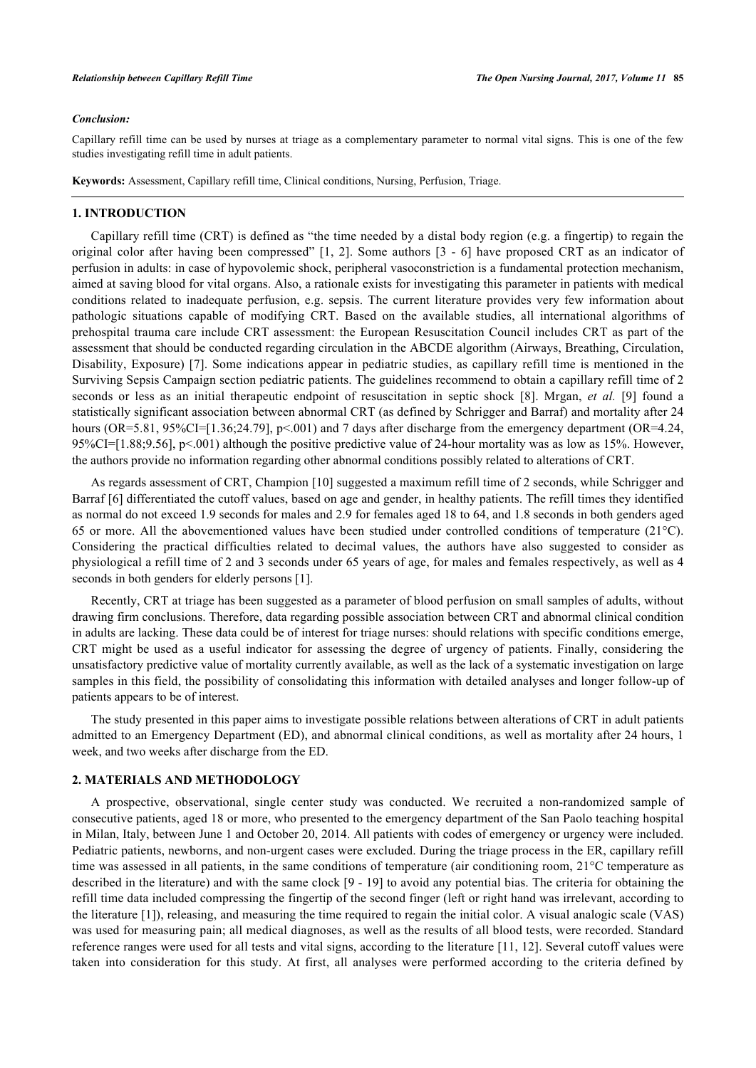#### *Conclusion:*

Capillary refill time can be used by nurses at triage as a complementary parameter to normal vital signs. This is one of the few studies investigating refill time in adult patients.

**Keywords:** Assessment, Capillary refill time, Clinical conditions, Nursing, Perfusion, Triage.

### **1. INTRODUCTION**

Capillary refill time (CRT) is defined as "the time needed by a distal body region (e.g. a fingertip) to regain the original color after having been compressed" [\[1](#page-5-0), [2](#page-5-1)]. Some authors[[3](#page-5-2) - [6](#page-5-3)] have proposed CRT as an indicator of perfusion in adults: in case of hypovolemic shock, peripheral vasoconstriction is a fundamental protection mechanism, aimed at saving blood for vital organs. Also, a rationale exists for investigating this parameter in patients with medical conditions related to inadequate perfusion, e.g. sepsis. The current literature provides very few information about pathologic situations capable of modifying CRT. Based on the available studies, all international algorithms of prehospital trauma care include CRT assessment: the European Resuscitation Council includes CRT as part of the assessment that should be conducted regarding circulation in the ABCDE algorithm (Airways, Breathing, Circulation, Disability, Exposure) [[7\]](#page-6-0). Some indications appear in pediatric studies, as capillary refill time is mentioned in the Surviving Sepsis Campaign section pediatric patients. The guidelines recommend to obtain a capillary refill time of 2 seconds or less as an initial therapeutic endpoint of resuscitation in septic shock[[8](#page-6-1)]. Mrgan, *et al.* [[9](#page-6-2)] found a statistically significant association between abnormal CRT (as defined by Schrigger and Barraf) and mortality after 24 hours (OR=5.81, 95%CI=[1.36;24.79], p<.001) and 7 days after discharge from the emergency department (OR=4.24, 95%CI=[1.88;9.56], p<.001) although the positive predictive value of 24-hour mortality was as low as 15%. However, the authors provide no information regarding other abnormal conditions possibly related to alterations of CRT.

As regards assessment of CRT, Champion [\[10](#page-6-3)] suggested a maximum refill time of 2 seconds, while Schrigger and Barraf [[6\]](#page-5-3) differentiated the cutoff values, based on age and gender, in healthy patients. The refill times they identified as normal do not exceed 1.9 seconds for males and 2.9 for females aged 18 to 64, and 1.8 seconds in both genders aged 65 or more. All the abovementioned values have been studied under controlled conditions of temperature (21°C). Considering the practical difficulties related to decimal values, the authors have also suggested to consider as physiological a refill time of 2 and 3 seconds under 65 years of age, for males and females respectively, as well as 4 seconds in both genders for elderly persons [[1\]](#page-5-0).

Recently, CRT at triage has been suggested as a parameter of blood perfusion on small samples of adults, without drawing firm conclusions. Therefore, data regarding possible association between CRT and abnormal clinical condition in adults are lacking. These data could be of interest for triage nurses: should relations with specific conditions emerge, CRT might be used as a useful indicator for assessing the degree of urgency of patients. Finally, considering the unsatisfactory predictive value of mortality currently available, as well as the lack of a systematic investigation on large samples in this field, the possibility of consolidating this information with detailed analyses and longer follow-up of patients appears to be of interest.

The study presented in this paper aims to investigate possible relations between alterations of CRT in adult patients admitted to an Emergency Department (ED), and abnormal clinical conditions, as well as mortality after 24 hours, 1 week, and two weeks after discharge from the ED.

#### **2. MATERIALS AND METHODOLOGY**

A prospective, observational, single center study was conducted. We recruited a non-randomized sample of consecutive patients, aged 18 or more, who presented to the emergency department of the San Paolo teaching hospital in Milan, Italy, between June 1 and October 20, 2014. All patients with codes of emergency or urgency were included. Pediatric patients, newborns, and non-urgent cases were excluded. During the triage process in the ER, capillary refill time was assessed in all patients, in the same conditions of temperature (air conditioning room, 21°C temperature as described in the literature) and with the same clock [\[9](#page-6-2) - [19\]](#page-6-4) to avoid any potential bias. The criteria for obtaining the refill time data included compressing the fingertip of the second finger (left or right hand was irrelevant, according to the literature [[1\]](#page-5-0)), releasing, and measuring the time required to regain the initial color. A visual analogic scale (VAS) was used for measuring pain; all medical diagnoses, as well as the results of all blood tests, were recorded. Standard reference ranges were used for all tests and vital signs, according to the literature [\[11,](#page-6-5) [12](#page-6-6)]. Several cutoff values were taken into consideration for this study. At first, all analyses were performed according to the criteria defined by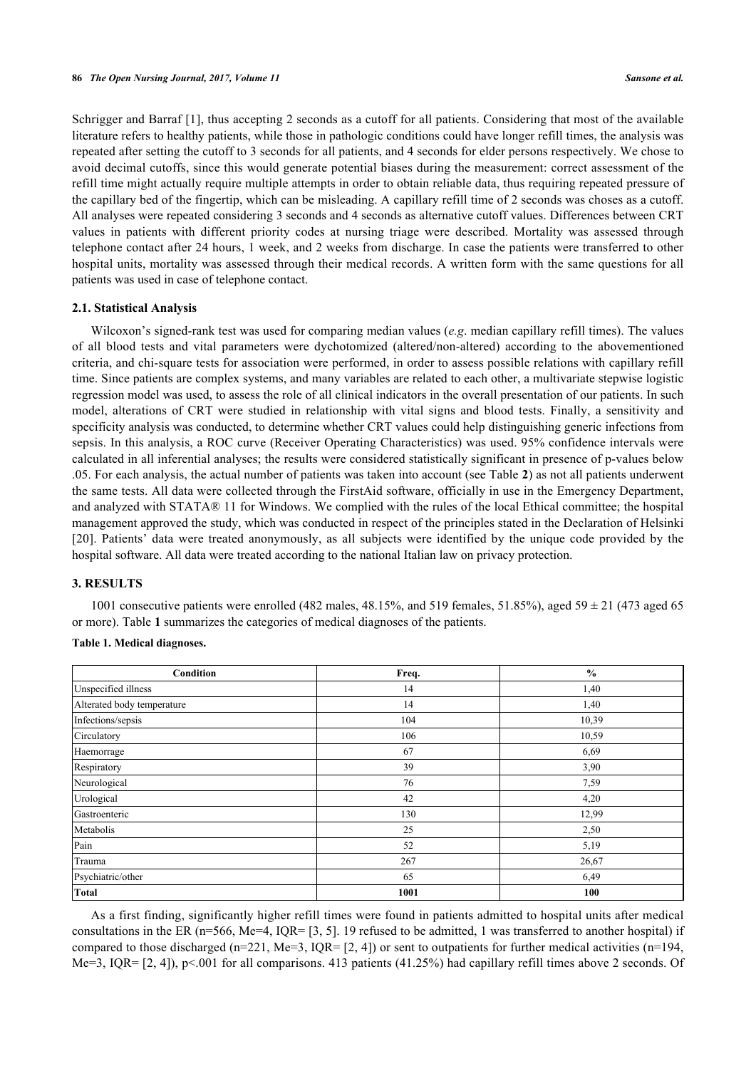Schrigger and Barraf [[1\]](#page-5-0), thus accepting 2 seconds as a cutoff for all patients. Considering that most of the available literature refers to healthy patients, while those in pathologic conditions could have longer refill times, the analysis was repeated after setting the cutoff to 3 seconds for all patients, and 4 seconds for elder persons respectively. We chose to avoid decimal cutoffs, since this would generate potential biases during the measurement: correct assessment of the refill time might actually require multiple attempts in order to obtain reliable data, thus requiring repeated pressure of the capillary bed of the fingertip, which can be misleading. A capillary refill time of 2 seconds was choses as a cutoff. All analyses were repeated considering 3 seconds and 4 seconds as alternative cutoff values. Differences between CRT values in patients with different priority codes at nursing triage were described. Mortality was assessed through telephone contact after 24 hours, 1 week, and 2 weeks from discharge. In case the patients were transferred to other hospital units, mortality was assessed through their medical records. A written form with the same questions for all patients was used in case of telephone contact.

#### **2.1. Statistical Analysis**

Wilcoxon's signed-rank test was used for comparing median values (*e.g*. median capillary refill times). The values of all blood tests and vital parameters were dychotomized (altered/non-altered) according to the abovementioned criteria, and chi-square tests for association were performed, in order to assess possible relations with capillary refill time. Since patients are complex systems, and many variables are related to each other, a multivariate stepwise logistic regression model was used, to assess the role of all clinical indicators in the overall presentation of our patients. In such model, alterations of CRT were studied in relationship with vital signs and blood tests. Finally, a sensitivity and specificity analysis was conducted, to determine whether CRT values could help distinguishing generic infections from sepsis. In this analysis, a ROC curve (Receiver Operating Characteristics) was used. 95% confidence intervals were calculated in all inferential analyses; the results were considered statistically significant in presence of p-values below .05. For each analysis, the actual number of patients was taken into account (see Table **[2](#page-3-0)**) as not all patients underwent the same tests. All data were collected through the FirstAid software, officially in use in the Emergency Department, and analyzed with STATA® 11 for Windows. We complied with the rules of the local Ethical committee; the hospital management approved the study, which was conducted in respect of the principles stated in the Declaration of Helsinki [\[20](#page-6-7)]. Patients' data were treated anonymously, as all subjects were identified by the unique code provided by the hospital software. All data were treated according to the national Italian law on privacy protection.

#### **3. RESULTS**

1001 consecutive patients were enrolled (482 males, 48.15%, and 519 females, 51.85%), aged 59  $\pm$  21 (473 aged 65 or more). Table **[1](#page-2-0)** summarizes the categories of medical diagnoses of the patients.

#### <span id="page-2-0"></span>**Table 1. Medical diagnoses.**

| Condition                  | Freq. | $\frac{0}{0}$ |
|----------------------------|-------|---------------|
| Unspecified illness        | 14    | 1,40          |
| Alterated body temperature | 14    | 1,40          |
| Infections/sepsis          | 104   | 10,39         |
| Circulatory                | 106   | 10,59         |
| Haemorrage                 | 67    | 6,69          |
| Respiratory                | 39    | 3,90          |
| Neurological               | 76    | 7,59          |
| Urological                 | 42    | 4,20          |
| Gastroenteric              | 130   | 12,99         |
| Metabolis                  | 25    | 2,50          |
| Pain                       | 52    | 5,19          |
| Trauma                     | 267   | 26,67         |
| Psychiatric/other          | 65    | 6,49          |
| <b>Total</b>               | 1001  | 100           |

As a first finding, significantly higher refill times were found in patients admitted to hospital units after medical consultations in the ER ( $n=566$ , Me=4, IQR= [\[3](#page-5-2), [5\]](#page-5-4). 19 refused to be admitted, 1 was transferred to another hospital) if compared to those discharged (n=221, Me=3, IQR=  $[2, 4]$  $[2, 4]$  $[2, 4]$ ) or sent to outpatients for further medical activities (n=194, Me=3, IQR= [[2,](#page-5-1) [4](#page-5-5)]), p<.001 for all comparisons. 413 patients (41.25%) had capillary refill times above 2 seconds. Of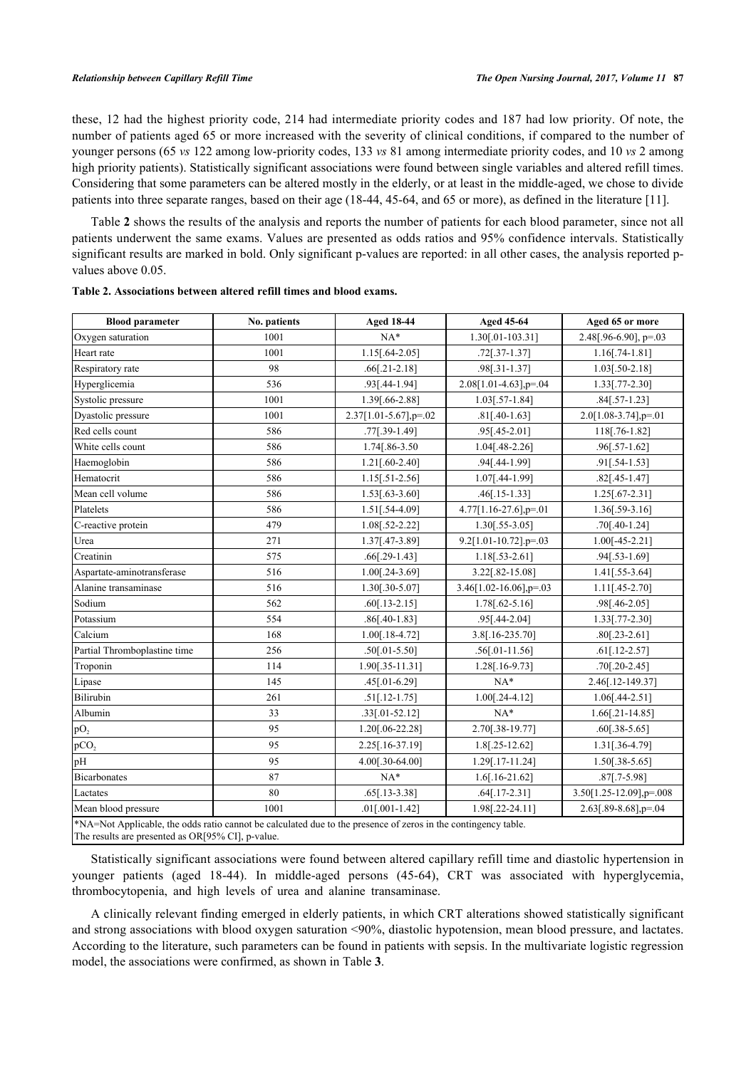these, 12 had the highest priority code, 214 had intermediate priority codes and 187 had low priority. Of note, the number of patients aged 65 or more increased with the severity of clinical conditions, if compared to the number of younger persons (65 *vs* 122 among low-priority codes, 133 *vs* 81 among intermediate priority codes, and 10 *vs* 2 among high priority patients). Statistically significant associations were found between single variables and altered refill times. Considering that some parameters can be altered mostly in the elderly, or at least in the middle-aged, we chose to divide patients into three separate ranges, based on their age (18-44, 45-64, and 65 or more), as defined in the literature [[11\]](#page-6-5).

Table **[2](#page-3-0)** shows the results of the analysis and reports the number of patients for each blood parameter, since not all patients underwent the same exams. Values are presented as odds ratios and 95% confidence intervals. Statistically significant results are marked in bold. Only significant p-values are reported: in all other cases, the analysis reported pvalues above 0.05.

| <b>Blood parameter</b>                                                                                         | No. patients | <b>Aged 18-44</b>      | Aged 45-64                 | Aged 65 or more          |
|----------------------------------------------------------------------------------------------------------------|--------------|------------------------|----------------------------|--------------------------|
| Oxygen saturation                                                                                              | 1001         | $NA*$                  | 1.30[.01-103.31]           | $2.48$ [.96-6.90], p=.03 |
| Heart rate                                                                                                     | 1001         | 1.15[.64-2.05]         | $.72$ [ $.37 - 1.37$ ]     | $1.16[.74-1.81]$         |
| Respiratory rate                                                                                               | 98           | $.66[.21-2.18]$        | .98[.31-1.37]              | $1.03$ [.50-2.18]        |
| Hyperglicemia                                                                                                  | 536          | .93[.44-1.94]          | $2.08[1.01-4.63]$ , p=.04  | $1.33$ [.77-2.30]        |
| Systolic pressure                                                                                              | 1001         | 1.39[.66-2.88]         | $1.03$ [.57-1.84]          | $.84$ [.57-1.23]         |
| Dyastolic pressure                                                                                             | 1001         | 2.37[1.01-5.67], p=.02 | $.81$ [.40-1.63]           | 2.0[1.08-3.74],p=.01     |
| Red cells count                                                                                                | 586          | .77[.39-1.49]          | .95[.45-2.01]              | 118[.76-1.82]            |
| White cells count                                                                                              | 586          | 1.74 [.86-3.50]        | $1.04$ [.48-2.26]          | $.96$ [.57-1.62]         |
| Haemoglobin                                                                                                    | 586          | $1.21$ [.60-2.40]      | .94[.44-1.99]              | .91[.54-1.53]            |
| Hematocrit                                                                                                     | 586          | $1.15$ [.51-2.56]      | 1.07[.44-1.99]             | $.82$ [.45-1.47]         |
| Mean cell volume                                                                                               | 586          | $1.53$ [.63-3.60]      | $.46$ [ $.15 - 1.33$ ]     | $1.25$ [.67-2.31]        |
| Platelets                                                                                                      | 586          | $1.51$ [.54-4.09]      | $4.77[1.16-27.6]$ , p=.01  | $1.36$ [.59-3.16]        |
| C-reactive protein                                                                                             | 479          | $1.08$ [.52-2.22]      | $1.30$ [.55-3.05]          | $.70$ [.40-1.24]         |
| Urea                                                                                                           | 271          | 1.37[.47-3.89]         | 9.2[1.01-10.72].p=.03      | $1.00[-45-2.21]$         |
| Creatinin                                                                                                      | 575          | $.66$ [.29-1.43]       | $1.18$ [.53-2.61]          | $.94$ [.53-1.69]         |
| Aspartate-aminotransferase                                                                                     | 516          | 1.00[.24-3.69]         | 3.22[.82-15.08]            | $1.41$ [.55-3.64]        |
| Alanine transaminase                                                                                           | 516          | $1.30$ [.30-5.07]      | $3.46[1.02-16.06]$ , p=.03 | $1.11$ [.45-2.70]        |
| Sodium                                                                                                         | 562          | $.60$ [.13-2.15]       | $1.78$ [.62-5.16]          | .98[.46-2.05]            |
| Potassium                                                                                                      | 554          | $.86$ [.40-1.83]       | .95[.44-2.04]              | 1.33[.77-2.30]           |
| Calcium                                                                                                        | 168          | $1.00$ [.18-4.72]      | 3.8[.16-235.70]            | $.80[.23-2.61]$          |
| Partial Thromboplastine time                                                                                   | 256          | $.50$ [.01-5.50]       | $.56[.01-11.56]$           | $.61[.12-2.57]$          |
| Troponin                                                                                                       | 114          | $1.90$ [.35-11.31]     | $1.28$ [.16-9.73]          | $.70$ [.20-2.45]         |
| Lipase                                                                                                         | 145          | .45[.01-6.29]          | $NA*$                      | 2.46[.12-149.37]         |
| Bilirubin                                                                                                      | 261          | $.51$ [.12-1.75]       | $1.00[.24-4.12]$           | $1.06$ [.44-2.51]        |
| Albumin                                                                                                        | 33           | $.33[.01-52.12]$       | $NA*$                      | $1.66$ [.21-14.85]       |
| pO <sub>2</sub>                                                                                                | 95           | 1.20[.06-22.28]        | 2.70[.38-19.77]            | $.60[.38-5.65]$          |
| pCO <sub>2</sub>                                                                                               | 95           | 2.25[.16-37.19]        | $1.8[.25-12.62]$           | 1.31[.36-4.79]           |
| pH                                                                                                             | 95           | 4.00[.30-64.00]        | 1.29 [.17-11.24]           | $1.50$ [.38-5.65]        |
| Bicarbonates                                                                                                   | 87           | $NA*$                  | $1.6$ [.16-21.62]          | $.87$ [.7-5.98]          |
| Lactates                                                                                                       | 80           | .65[.13-3.38]          | $.64[.17-2.31]$            | 3.50[1.25-12.09], p=.008 |
| Mean blood pressure                                                                                            | 1001         | $.01$ [.001-1.42]      | 1.98[.22-24.11]            | 2.63[.89-8.68],p=.04     |
| *NA=Not Applicable, the odds ratio cannot be calculated due to the presence of zeros in the contingency table. |              |                        |                            |                          |

<span id="page-3-0"></span>

The results are presented as OR[95% CI], p-value.

Statistically significant associations were found between altered capillary refill time and diastolic hypertension in younger patients (aged 18-44). In middle-aged persons (45-64), CRT was associated with hyperglycemia, thrombocytopenia, and high levels of urea and alanine transaminase.

<span id="page-3-1"></span>A clinically relevant finding emerged in elderly patients, in which CRT alterations showed statistically significant and strong associations with blood oxygen saturation <90%, diastolic hypotension, mean blood pressure, and lactates. According to the literature, such parameters can be found in patients with sepsis. In the multivariate logistic regression model, the associations were confirmed, as shown in Table **[3](#page-3-1)**.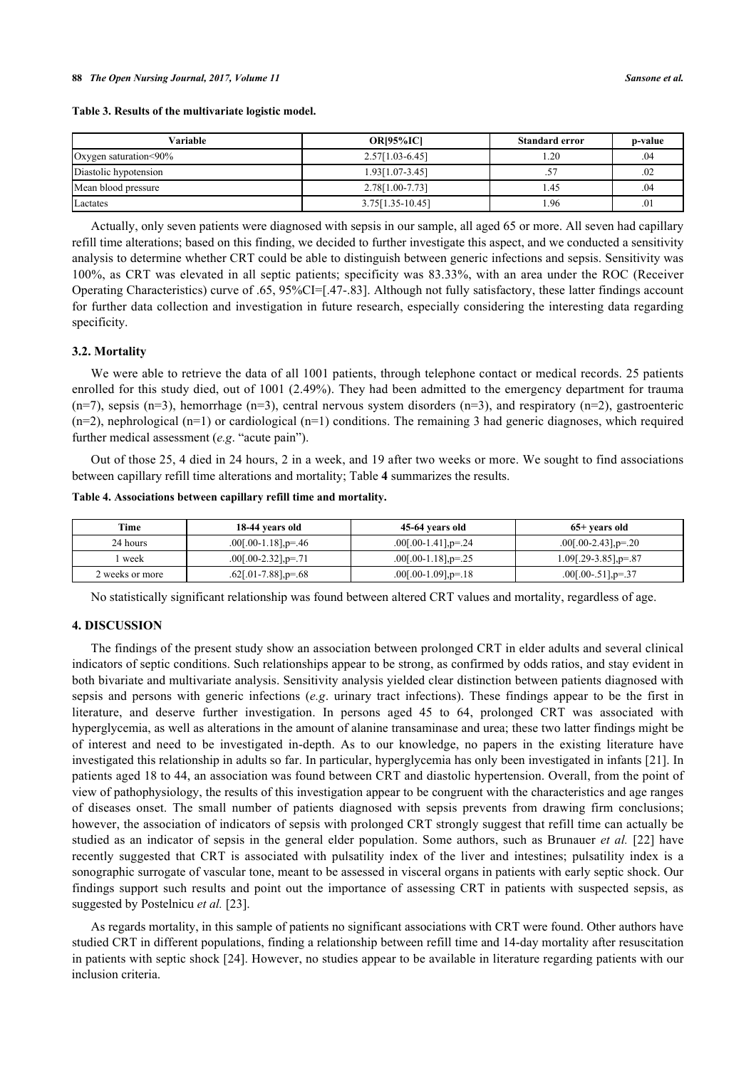| Variable              | <b>OR</b> <sub>195%</sub> ICI | <b>Standard error</b> | p-value |
|-----------------------|-------------------------------|-----------------------|---------|
| Oxygen saturation<90% | $2.57[1.03-6.45]$             | 1.20                  | .04     |
| Diastolic hypotension | 1.93 [1.07 - 3.45]            |                       | .02     |
| Mean blood pressure   | 2.78[1.00-7.73]               | 1.45                  | .04     |
| Lactates              | $3.75[1.35-10.45]$            | 1.96                  | .01     |

Actually, only seven patients were diagnosed with sepsis in our sample, all aged 65 or more. All seven had capillary refill time alterations; based on this finding, we decided to further investigate this aspect, and we conducted a sensitivity analysis to determine whether CRT could be able to distinguish between generic infections and sepsis. Sensitivity was 100%, as CRT was elevated in all septic patients; specificity was 83.33%, with an area under the ROC (Receiver Operating Characteristics) curve of .65, 95%CI=[.47-.83]. Although not fully satisfactory, these latter findings account for further data collection and investigation in future research, especially considering the interesting data regarding specificity.

#### **3.2. Mortality**

We were able to retrieve the data of all 1001 patients, through telephone contact or medical records. 25 patients enrolled for this study died, out of 1001 (2.49%). They had been admitted to the emergency department for trauma  $(n=7)$ , sepsis  $(n=3)$ , hemorrhage  $(n=3)$ , central nervous system disorders  $(n=3)$ , and respiratory  $(n=2)$ , gastroenteric  $(n=2)$ , nephrological  $(n=1)$  or cardiological  $(n=1)$  conditions. The remaining 3 had generic diagnoses, which required further medical assessment (*e.g*. "acute pain").

Out of those 25, 4 died in 24 hours, 2 in a week, and 19 after two weeks or more. We sought to find associations between capillary refill time alterations and mortality; Table **[4](#page-4-0)** summarizes the results.

<span id="page-4-0"></span>

| Table 4. Associations between capillary refill time and mortality. |  |  |  |
|--------------------------------------------------------------------|--|--|--|
|                                                                    |  |  |  |

| Time            | 18-44 years old                        | 45-64 years old                       | 65+ vears old                             |
|-----------------|----------------------------------------|---------------------------------------|-------------------------------------------|
| 24 hours        | $.00[.00-1.18]$ <sub>, p</sub> = $.46$ | $.00[.00-1.41]$ <sub>,p</sub> = $.24$ | $.00$ [.00-2.43], p=.20                   |
| week            | $.00[.00-2.32]$ , p=.71                | $.00$ [.00-1.18], p=.25               | $1.09$ [.29-3.85], $p = 0.87$             |
| 2 weeks or more | $.62$ [.01-7.88], $p=.68$              | $.00$ [.00-1.09], p=.18               | $.00$ [ $.00-.51$ ] <sub>,p</sub> = $.37$ |

No statistically significant relationship was found between altered CRT values and mortality, regardless of age.

#### **4. DISCUSSION**

The findings of the present study show an association between prolonged CRT in elder adults and several clinical indicators of septic conditions. Such relationships appear to be strong, as confirmed by odds ratios, and stay evident in both bivariate and multivariate analysis. Sensitivity analysis yielded clear distinction between patients diagnosed with sepsis and persons with generic infections (*e.g*. urinary tract infections). These findings appear to be the first in literature, and deserve further investigation. In persons aged 45 to 64, prolonged CRT was associated with hyperglycemia, as well as alterations in the amount of alanine transaminase and urea; these two latter findings might be of interest and need to be investigated in-depth. As to our knowledge, no papers in the existing literature have investigated this relationship in adults so far. In particular, hyperglycemia has only been investigated in infants [[21\]](#page-6-8). In patients aged 18 to 44, an association was found between CRT and diastolic hypertension. Overall, from the point of view of pathophysiology, the results of this investigation appear to be congruent with the characteristics and age ranges of diseases onset. The small number of patients diagnosed with sepsis prevents from drawing firm conclusions; however, the association of indicators of sepsis with prolonged CRT strongly suggest that refill time can actually be studied as an indicator of sepsis in the general elder population. Some authors, such as Brunauer *et al.* [[22](#page-6-9)] have recently suggested that CRT is associated with pulsatility index of the liver and intestines; pulsatility index is a sonographic surrogate of vascular tone, meant to be assessed in visceral organs in patients with early septic shock. Our findings support such results and point out the importance of assessing CRT in patients with suspected sepsis, as suggested by Postelnicu *et al.* [\[23](#page-6-10)].

As regards mortality, in this sample of patients no significant associations with CRT were found. Other authors have studied CRT in different populations, finding a relationship between refill time and 14-day mortality after resuscitation in patients with septic shock [\[24](#page-6-11)]. However, no studies appear to be available in literature regarding patients with our inclusion criteria.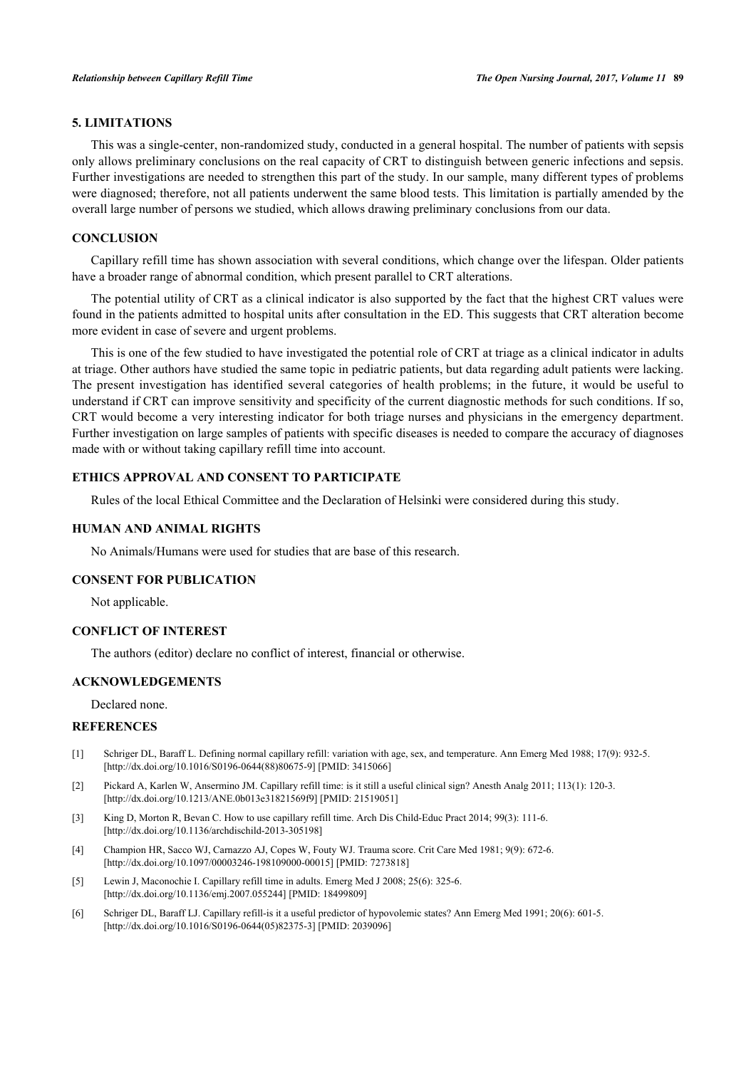## **5. LIMITATIONS**

This was a single-center, non-randomized study, conducted in a general hospital. The number of patients with sepsis only allows preliminary conclusions on the real capacity of CRT to distinguish between generic infections and sepsis. Further investigations are needed to strengthen this part of the study. In our sample, many different types of problems were diagnosed; therefore, not all patients underwent the same blood tests. This limitation is partially amended by the overall large number of persons we studied, which allows drawing preliminary conclusions from our data.

#### **CONCLUSION**

Capillary refill time has shown association with several conditions, which change over the lifespan. Older patients have a broader range of abnormal condition, which present parallel to CRT alterations.

The potential utility of CRT as a clinical indicator is also supported by the fact that the highest CRT values were found in the patients admitted to hospital units after consultation in the ED. This suggests that CRT alteration become more evident in case of severe and urgent problems.

This is one of the few studied to have investigated the potential role of CRT at triage as a clinical indicator in adults at triage. Other authors have studied the same topic in pediatric patients, but data regarding adult patients were lacking. The present investigation has identified several categories of health problems; in the future, it would be useful to understand if CRT can improve sensitivity and specificity of the current diagnostic methods for such conditions. If so, CRT would become a very interesting indicator for both triage nurses and physicians in the emergency department. Further investigation on large samples of patients with specific diseases is needed to compare the accuracy of diagnoses made with or without taking capillary refill time into account.

# **ETHICS APPROVAL AND CONSENT TO PARTICIPATE**

Rules of the local Ethical Committee and the Declaration of Helsinki were considered during this study.

### **HUMAN AND ANIMAL RIGHTS**

No Animals/Humans were used for studies that are base of this research.

#### **CONSENT FOR PUBLICATION**

Not applicable.

# **CONFLICT OF INTEREST**

The authors (editor) declare no conflict of interest, financial or otherwise.

#### **ACKNOWLEDGEMENTS**

Declared none.

#### **REFERENCES**

- [1] Schriger DL, Baraff L. Defining normal capillary refill: variation with age, sex, and temperature. Ann Emerg Med 1988; 17(9): 932-5. [\[http://dx.doi.org/10.1016/S0196-0644\(88\)80675-9\]](http://dx.doi.org/10.1016/S0196-0644(88)80675-9) [PMID: [3415066](http://www.ncbi.nlm.nih.gov/pubmed/3415066)]
- <span id="page-5-0"></span>[2] Pickard A, Karlen W, Ansermino JM. Capillary refill time: is it still a useful clinical sign? Anesth Analg 2011; 113(1): 120-3. [\[http://dx.doi.org/10.1213/ANE.0b013e31821569f9](http://dx.doi.org/10.1213/ANE.0b013e31821569f9)] [PMID: [21519051](http://www.ncbi.nlm.nih.gov/pubmed/21519051)]
- <span id="page-5-1"></span>[3] King D, Morton R, Bevan C. How to use capillary refill time. Arch Dis Child-Educ Pract 2014; 99(3): 111-6. [\[http://dx.doi.org/10.1136/archdischild-2013-305198](http://dx.doi.org/10.1136/archdischild-2013-305198)]
- <span id="page-5-2"></span>[4] Champion HR, Sacco WJ, Carnazzo AJ, Copes W, Fouty WJ. Trauma score. Crit Care Med 1981; 9(9): 672-6. [\[http://dx.doi.org/10.1097/00003246-198109000-00015](http://dx.doi.org/10.1097/00003246-198109000-00015)] [PMID: [7273818\]](http://www.ncbi.nlm.nih.gov/pubmed/7273818)
- <span id="page-5-5"></span>[5] Lewin J, Maconochie I. Capillary refill time in adults. Emerg Med J 2008; 25(6): 325-6. [\[http://dx.doi.org/10.1136/emj.2007.055244\]](http://dx.doi.org/10.1136/emj.2007.055244) [PMID: [18499809](http://www.ncbi.nlm.nih.gov/pubmed/18499809)]
- <span id="page-5-4"></span><span id="page-5-3"></span>[6] Schriger DL, Baraff LJ. Capillary refill-is it a useful predictor of hypovolemic states? Ann Emerg Med 1991; 20(6): 601-5. [\[http://dx.doi.org/10.1016/S0196-0644\(05\)82375-3\]](http://dx.doi.org/10.1016/S0196-0644(05)82375-3) [PMID: [2039096](http://www.ncbi.nlm.nih.gov/pubmed/2039096)]